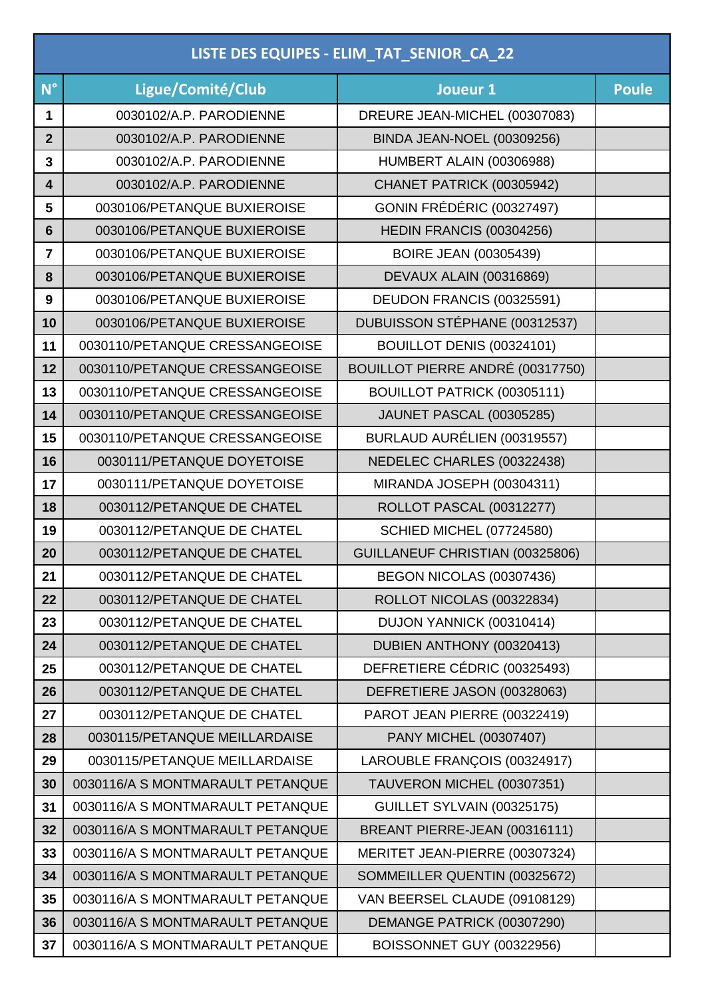| LISTE DES EQUIPES - ELIM_TAT_SENIOR_CA_22 |                                  |                                   |              |
|-------------------------------------------|----------------------------------|-----------------------------------|--------------|
| $N^{\circ}$                               | Ligue/Comité/Club                | Joueur 1                          | <b>Poule</b> |
| 1                                         | 0030102/A.P. PARODIENNE          | DREURE JEAN-MICHEL (00307083)     |              |
| $\overline{2}$                            | 0030102/A.P. PARODIENNE          | <b>BINDA JEAN-NOEL (00309256)</b> |              |
| 3                                         | 0030102/A.P. PARODIENNE          | HUMBERT ALAIN (00306988)          |              |
| $\overline{\mathbf{4}}$                   | 0030102/A.P. PARODIENNE          | CHANET PATRICK (00305942)         |              |
| 5                                         | 0030106/PETANQUE BUXIEROISE      | GONIN FRÉDÉRIC (00327497)         |              |
| $6\phantom{1}$                            | 0030106/PETANQUE BUXIEROISE      | HEDIN FRANCIS (00304256)          |              |
| $\overline{7}$                            | 0030106/PETANQUE BUXIEROISE      | <b>BOIRE JEAN (00305439)</b>      |              |
| 8                                         | 0030106/PETANQUE BUXIEROISE      | <b>DEVAUX ALAIN (00316869)</b>    |              |
| 9                                         | 0030106/PETANQUE BUXIEROISE      | DEUDON FRANCIS (00325591)         |              |
| 10                                        | 0030106/PETANQUE BUXIEROISE      | DUBUISSON STÉPHANE (00312537)     |              |
| 11                                        | 0030110/PETANQUE CRESSANGEOISE   | BOUILLOT DENIS (00324101)         |              |
| 12                                        | 0030110/PETANQUE CRESSANGEOISE   | BOUILLOT PIERRE ANDRÉ (00317750)  |              |
| 13                                        | 0030110/PETANQUE CRESSANGEOISE   | BOUILLOT PATRICK (00305111)       |              |
| 14                                        | 0030110/PETANQUE CRESSANGEOISE   | <b>JAUNET PASCAL (00305285)</b>   |              |
| 15                                        | 0030110/PETANQUE CRESSANGEOISE   | BURLAUD AURÉLIEN (00319557)       |              |
| 16                                        | 0030111/PETANQUE DOYETOISE       | NEDELEC CHARLES (00322438)        |              |
| 17                                        | 0030111/PETANQUE DOYETOISE       | MIRANDA JOSEPH (00304311)         |              |
| 18                                        | 0030112/PETANQUE DE CHATEL       | <b>ROLLOT PASCAL (00312277)</b>   |              |
| 19                                        | 0030112/PETANQUE DE CHATEL       | <b>SCHIED MICHEL (07724580)</b>   |              |
| 20                                        | 0030112/PETANQUE DE CHATEL       | GUILLANEUF CHRISTIAN (00325806)   |              |
| 21                                        | 0030112/PETANQUE DE CHATEL       | BEGON NICOLAS (00307436)          |              |
| 22                                        | 0030112/PETANQUE DE CHATEL       | ROLLOT NICOLAS (00322834)         |              |
| 23                                        | 0030112/PETANQUE DE CHATEL       | DUJON YANNICK (00310414)          |              |
| 24                                        | 0030112/PETANQUE DE CHATEL       | DUBIEN ANTHONY (00320413)         |              |
| 25                                        | 0030112/PETANQUE DE CHATEL       | DEFRETIERE CÉDRIC (00325493)      |              |
| 26                                        | 0030112/PETANQUE DE CHATEL       | DEFRETIERE JASON (00328063)       |              |
| 27                                        | 0030112/PETANQUE DE CHATEL       | PAROT JEAN PIERRE (00322419)      |              |
| 28                                        | 0030115/PETANQUE MEILLARDAISE    | PANY MICHEL (00307407)            |              |
| 29                                        | 0030115/PETANQUE MEILLARDAISE    | LAROUBLE FRANÇOIS (00324917)      |              |
| 30                                        | 0030116/A S MONTMARAULT PETANQUE | TAUVERON MICHEL (00307351)        |              |
| 31                                        | 0030116/A S MONTMARAULT PETANQUE | GUILLET SYLVAIN (00325175)        |              |
| 32                                        | 0030116/A S MONTMARAULT PETANQUE | BREANT PIERRE-JEAN (00316111)     |              |
| 33                                        | 0030116/A S MONTMARAULT PETANQUE | MERITET JEAN-PIERRE (00307324)    |              |
| 34                                        | 0030116/A S MONTMARAULT PETANQUE | SOMMEILLER QUENTIN (00325672)     |              |
| 35                                        | 0030116/A S MONTMARAULT PETANQUE | VAN BEERSEL CLAUDE (09108129)     |              |
| 36                                        | 0030116/A S MONTMARAULT PETANQUE | DEMANGE PATRICK (00307290)        |              |
| 37                                        | 0030116/A S MONTMARAULT PETANQUE | BOISSONNET GUY (00322956)         |              |